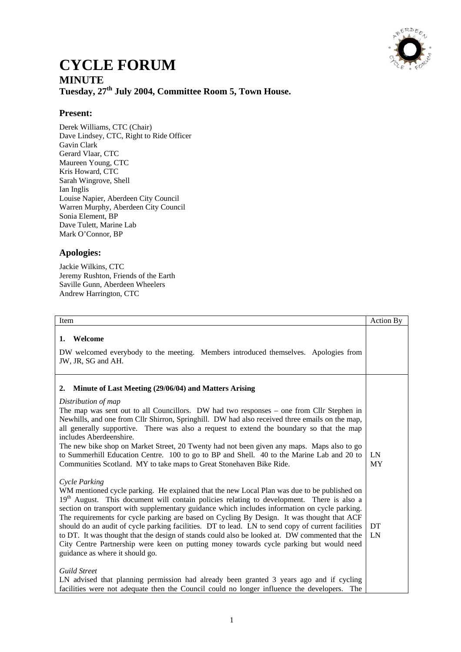

# **CYCLE FORUM**

# **MINUTE Tuesday, 27th July 2004, Committee Room 5, Town House.**

# **Present:**

Derek Williams, CTC (Chair) Dave Lindsey, CTC, Right to Ride Officer Gavin Clark Gerard Vlaar, CTC Maureen Young, CTC Kris Howard, CTC Sarah Wingrove, Shell Ian Inglis Louise Napier, Aberdeen City Council Warren Murphy, Aberdeen City Council Sonia Element, BP Dave Tulett, Marine Lab Mark O'Connor, BP

## **Apologies:**

Jackie Wilkins, CTC Jeremy Rushton, Friends of the Earth Saville Gunn, Aberdeen Wheelers Andrew Harrington, CTC

| Item                                                                                                                                                                                                                                                                                                                                                                                                                                                                                                                                                                                                                                                                                                                                                      | Action By |
|-----------------------------------------------------------------------------------------------------------------------------------------------------------------------------------------------------------------------------------------------------------------------------------------------------------------------------------------------------------------------------------------------------------------------------------------------------------------------------------------------------------------------------------------------------------------------------------------------------------------------------------------------------------------------------------------------------------------------------------------------------------|-----------|
| Welcome<br>1.<br>DW welcomed everybody to the meeting. Members introduced themselves. Apologies from<br>JW, JR, SG and AH.                                                                                                                                                                                                                                                                                                                                                                                                                                                                                                                                                                                                                                |           |
| Minute of Last Meeting (29/06/04) and Matters Arising<br>2.<br>Distribution of map<br>The map was sent out to all Councillors. DW had two responses – one from Cllr Stephen in<br>Newhills, and one from Cllr Shirron, Springhill. DW had also received three emails on the map,<br>all generally supportive. There was also a request to extend the boundary so that the map<br>includes Aberdeenshire.<br>The new bike shop on Market Street, 20 Twenty had not been given any maps. Maps also to go<br>to Summerhill Education Centre. 100 to go to BP and Shell. 40 to the Marine Lab and 20 to<br>Communities Scotland. MY to take maps to Great Stonehaven Bike Ride.                                                                               | LN<br>MY  |
| Cycle Parking<br>WM mentioned cycle parking. He explained that the new Local Plan was due to be published on<br>19 <sup>th</sup> August. This document will contain policies relating to development. There is also a<br>section on transport with supplementary guidance which includes information on cycle parking.<br>The requirements for cycle parking are based on Cycling By Design. It was thought that ACF<br>should do an audit of cycle parking facilities. DT to lead. LN to send copy of current facilities<br>to DT. It was thought that the design of stands could also be looked at. DW commented that the<br>City Centre Partnership were keen on putting money towards cycle parking but would need<br>guidance as where it should go. | DT<br>LN  |
| <b>Guild Street</b><br>LN advised that planning permission had already been granted 3 years ago and if cycling<br>facilities were not adequate then the Council could no longer influence the developers.<br>The                                                                                                                                                                                                                                                                                                                                                                                                                                                                                                                                          |           |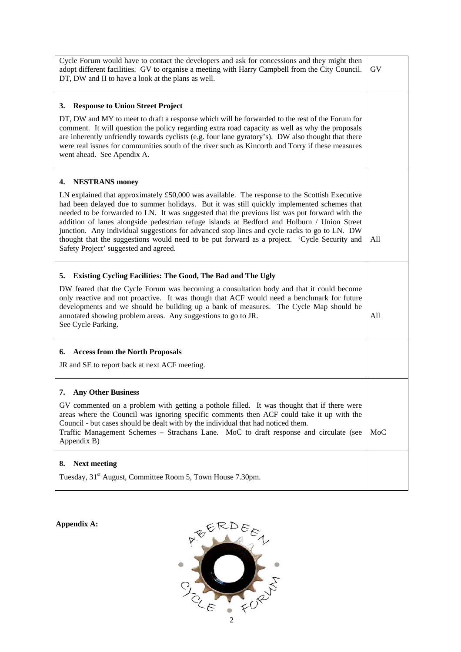| Cycle Forum would have to contact the developers and ask for concessions and they might then<br>adopt different facilities. GV to organise a meeting with Harry Campbell from the City Council.<br>DT, DW and II to have a look at the plans as well.                                                                                                                                                                                                                                                                                                                                                                                | GV  |
|--------------------------------------------------------------------------------------------------------------------------------------------------------------------------------------------------------------------------------------------------------------------------------------------------------------------------------------------------------------------------------------------------------------------------------------------------------------------------------------------------------------------------------------------------------------------------------------------------------------------------------------|-----|
| <b>Response to Union Street Project</b><br>3.                                                                                                                                                                                                                                                                                                                                                                                                                                                                                                                                                                                        |     |
| DT, DW and MY to meet to draft a response which will be forwarded to the rest of the Forum for<br>comment. It will question the policy regarding extra road capacity as well as why the proposals<br>are inherently unfriendly towards cyclists (e.g. four lane gyratory's). DW also thought that there<br>were real issues for communities south of the river such as Kincorth and Torry if these measures<br>went ahead. See Apendix A.                                                                                                                                                                                            |     |
| <b>NESTRANS</b> money<br>4.                                                                                                                                                                                                                                                                                                                                                                                                                                                                                                                                                                                                          |     |
| LN explained that approximately £50,000 was available. The response to the Scottish Executive<br>had been delayed due to summer holidays. But it was still quickly implemented schemes that<br>needed to be forwarded to LN. It was suggested that the previous list was put forward with the<br>addition of lanes alongside pedestrian refuge islands at Bedford and Holburn / Union Street<br>junction. Any individual suggestions for advanced stop lines and cycle racks to go to LN. DW<br>thought that the suggestions would need to be put forward as a project. 'Cycle Security and<br>Safety Project' suggested and agreed. | All |
| Existing Cycling Facilities: The Good, The Bad and The Ugly<br>5.                                                                                                                                                                                                                                                                                                                                                                                                                                                                                                                                                                    |     |
| DW feared that the Cycle Forum was becoming a consultation body and that it could become<br>only reactive and not proactive. It was though that ACF would need a benchmark for future<br>developments and we should be building up a bank of measures. The Cycle Map should be<br>annotated showing problem areas. Any suggestions to go to JR.<br>See Cycle Parking.                                                                                                                                                                                                                                                                | All |
| <b>Access from the North Proposals</b><br>6.                                                                                                                                                                                                                                                                                                                                                                                                                                                                                                                                                                                         |     |
| JR and SE to report back at next ACF meeting.                                                                                                                                                                                                                                                                                                                                                                                                                                                                                                                                                                                        |     |
| <b>Any Other Business</b><br>7.                                                                                                                                                                                                                                                                                                                                                                                                                                                                                                                                                                                                      |     |
| GV commented on a problem with getting a pothole filled. It was thought that if there were<br>areas where the Council was ignoring specific comments then ACF could take it up with the<br>Council - but cases should be dealt with by the individual that had noticed them.<br>Traffic Management Schemes - Strachans Lane. MoC to draft response and circulate (see<br>Appendix B)                                                                                                                                                                                                                                                 | MoC |
| <b>Next meeting</b><br>8.                                                                                                                                                                                                                                                                                                                                                                                                                                                                                                                                                                                                            |     |
| Tuesday, 31 <sup>st</sup> August, Committee Room 5, Town House 7.30pm.                                                                                                                                                                                                                                                                                                                                                                                                                                                                                                                                                               |     |

**Appendix A:**

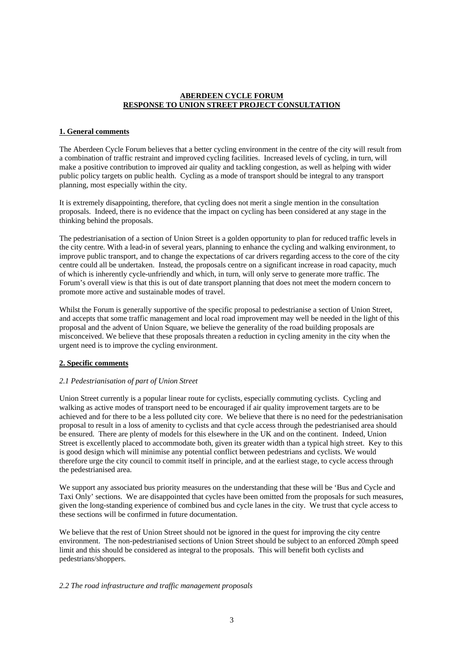#### **ABERDEEN CYCLE FORUM RESPONSE TO UNION STREET PROJECT CONSULTATION**

#### **1. General comments**

The Aberdeen Cycle Forum believes that a better cycling environment in the centre of the city will result from a combination of traffic restraint and improved cycling facilities. Increased levels of cycling, in turn, will make a positive contribution to improved air quality and tackling congestion, as well as helping with wider public policy targets on public health. Cycling as a mode of transport should be integral to any transport planning, most especially within the city.

It is extremely disappointing, therefore, that cycling does not merit a single mention in the consultation proposals. Indeed, there is no evidence that the impact on cycling has been considered at any stage in the thinking behind the proposals.

The pedestrianisation of a section of Union Street is a golden opportunity to plan for reduced traffic levels in the city centre. With a lead-in of several years, planning to enhance the cycling and walking environment, to improve public transport, and to change the expectations of car drivers regarding access to the core of the city centre could all be undertaken. Instead, the proposals centre on a significant increase in road capacity, much of which is inherently cycle-unfriendly and which, in turn, will only serve to generate more traffic. The Forum's overall view is that this is out of date transport planning that does not meet the modern concern to promote more active and sustainable modes of travel.

Whilst the Forum is generally supportive of the specific proposal to pedestrianise a section of Union Street, and accepts that some traffic management and local road improvement may well be needed in the light of this proposal and the advent of Union Square, we believe the generality of the road building proposals are misconceived. We believe that these proposals threaten a reduction in cycling amenity in the city when the urgent need is to improve the cycling environment.

#### **2. Specific comments**

#### *2.1 Pedestrianisation of part of Union Street*

Union Street currently is a popular linear route for cyclists, especially commuting cyclists. Cycling and walking as active modes of transport need to be encouraged if air quality improvement targets are to be achieved and for there to be a less polluted city core. We believe that there is no need for the pedestrianisation proposal to result in a loss of amenity to cyclists and that cycle access through the pedestrianised area should be ensured. There are plenty of models for this elsewhere in the UK and on the continent. Indeed, Union Street is excellently placed to accommodate both, given its greater width than a typical high street. Key to this is good design which will minimise any potential conflict between pedestrians and cyclists. We would therefore urge the city council to commit itself in principle, and at the earliest stage, to cycle access through the pedestrianised area.

We support any associated bus priority measures on the understanding that these will be 'Bus and Cycle and Taxi Only' sections. We are disappointed that cycles have been omitted from the proposals for such measures, given the long-standing experience of combined bus and cycle lanes in the city. We trust that cycle access to these sections will be confirmed in future documentation.

We believe that the rest of Union Street should not be ignored in the quest for improving the city centre environment. The non-pedestrianised sections of Union Street should be subject to an enforced 20mph speed limit and this should be considered as integral to the proposals. This will benefit both cyclists and pedestrians/shoppers.

#### *2.2 The road infrastructure and traffic management proposals*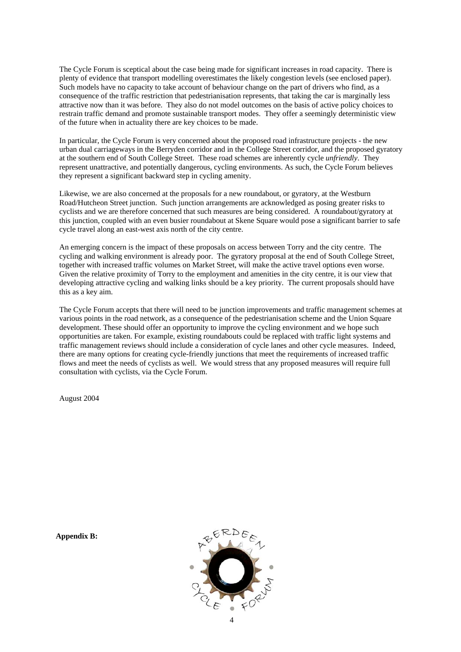The Cycle Forum is sceptical about the case being made for significant increases in road capacity. There is plenty of evidence that transport modelling overestimates the likely congestion levels (see enclosed paper). Such models have no capacity to take account of behaviour change on the part of drivers who find, as a consequence of the traffic restriction that pedestrianisation represents, that taking the car is marginally less attractive now than it was before. They also do not model outcomes on the basis of active policy choices to restrain traffic demand and promote sustainable transport modes. They offer a seemingly deterministic view of the future when in actuality there are key choices to be made.

In particular, the Cycle Forum is very concerned about the proposed road infrastructure projects - the new urban dual carriageways in the Berryden corridor and in the College Street corridor, and the proposed gyratory at the southern end of South College Street. These road schemes are inherently cycle *unfriendly*. They represent unattractive, and potentially dangerous, cycling environments. As such, the Cycle Forum believes they represent a significant backward step in cycling amenity.

Likewise, we are also concerned at the proposals for a new roundabout, or gyratory, at the Westburn Road/Hutcheon Street junction. Such junction arrangements are acknowledged as posing greater risks to cyclists and we are therefore concerned that such measures are being considered. A roundabout/gyratory at this junction, coupled with an even busier roundabout at Skene Square would pose a significant barrier to safe cycle travel along an east-west axis north of the city centre.

An emerging concern is the impact of these proposals on access between Torry and the city centre. The cycling and walking environment is already poor. The gyratory proposal at the end of South College Street, together with increased traffic volumes on Market Street, will make the active travel options even worse. Given the relative proximity of Torry to the employment and amenities in the city centre, it is our view that developing attractive cycling and walking links should be a key priority. The current proposals should have this as a key aim.

The Cycle Forum accepts that there will need to be junction improvements and traffic management schemes at various points in the road network, as a consequence of the pedestrianisation scheme and the Union Square development. These should offer an opportunity to improve the cycling environment and we hope such opportunities are taken. For example, existing roundabouts could be replaced with traffic light systems and traffic management reviews should include a consideration of cycle lanes and other cycle measures. Indeed, there are many options for creating cycle-friendly junctions that meet the requirements of increased traffic flows and meet the needs of cyclists as well. We would stress that any proposed measures will require full consultation with cyclists, via the Cycle Forum.

August 2004

**Appendix B:**